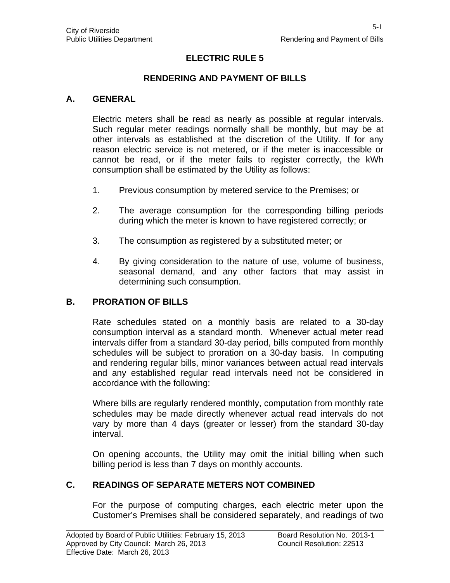# **ELECTRIC RULE 5**

## **RENDERING AND PAYMENT OF BILLS**

#### **A. GENERAL**

Electric meters shall be read as nearly as possible at regular intervals. Such regular meter readings normally shall be monthly, but may be at other intervals as established at the discretion of the Utility. If for any reason electric service is not metered, or if the meter is inaccessible or cannot be read, or if the meter fails to register correctly, the kWh consumption shall be estimated by the Utility as follows:

- 1. Previous consumption by metered service to the Premises; or
- 2. The average consumption for the corresponding billing periods during which the meter is known to have registered correctly; or
- 3. The consumption as registered by a substituted meter; or
- 4. By giving consideration to the nature of use, volume of business, seasonal demand, and any other factors that may assist in determining such consumption.

#### **B. PRORATION OF BILLS**

Rate schedules stated on a monthly basis are related to a 30-day consumption interval as a standard month. Whenever actual meter read intervals differ from a standard 30-day period, bills computed from monthly schedules will be subject to proration on a 30-day basis. In computing and rendering regular bills, minor variances between actual read intervals and any established regular read intervals need not be considered in accordance with the following:

Where bills are regularly rendered monthly, computation from monthly rate schedules may be made directly whenever actual read intervals do not vary by more than 4 days (greater or lesser) from the standard 30-day interval.

On opening accounts, the Utility may omit the initial billing when such billing period is less than 7 days on monthly accounts.

#### **C. READINGS OF SEPARATE METERS NOT COMBINED**

For the purpose of computing charges, each electric meter upon the Customer's Premises shall be considered separately, and readings of two